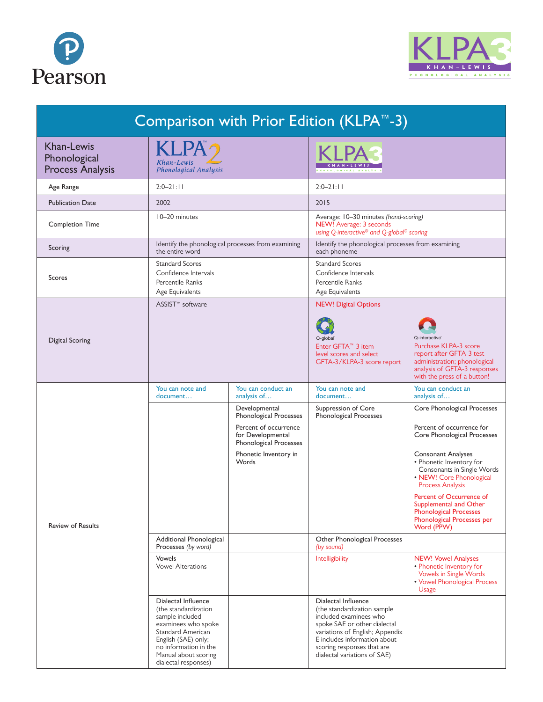



| Comparison with Prior Edition (KLPA™-3)                      |                                                                                                                                                                                                                   |                                                                      |                                                                                                                                                                                                                                               |                                                                                                                                                                    |  |
|--------------------------------------------------------------|-------------------------------------------------------------------------------------------------------------------------------------------------------------------------------------------------------------------|----------------------------------------------------------------------|-----------------------------------------------------------------------------------------------------------------------------------------------------------------------------------------------------------------------------------------------|--------------------------------------------------------------------------------------------------------------------------------------------------------------------|--|
| <b>Khan-Lewis</b><br>Phonological<br><b>Process Analysis</b> | <b>KLPA</b><br>Khan-Lewis<br>Phonological Analysis                                                                                                                                                                |                                                                      |                                                                                                                                                                                                                                               |                                                                                                                                                                    |  |
| Age Range                                                    | $2:0 - 2$  :                                                                                                                                                                                                      |                                                                      | $2:0-2$  :                                                                                                                                                                                                                                    |                                                                                                                                                                    |  |
| <b>Publication Date</b>                                      | 2002                                                                                                                                                                                                              |                                                                      | 2015                                                                                                                                                                                                                                          |                                                                                                                                                                    |  |
| <b>Completion Time</b>                                       | 10-20 minutes                                                                                                                                                                                                     |                                                                      | Average: 10-30 minutes (hand-scoring)<br>NEW! Average: 3 seconds<br>using Q-interactive® and Q-global® scoring                                                                                                                                |                                                                                                                                                                    |  |
| Scoring                                                      | Identify the phonological processes from examining<br>the entire word                                                                                                                                             |                                                                      | Identify the phonological processes from examining<br>each phoneme                                                                                                                                                                            |                                                                                                                                                                    |  |
| Scores                                                       | <b>Standard Scores</b><br>Confidence Intervals<br>Percentile Ranks<br>Age Equivalents                                                                                                                             |                                                                      | <b>Standard Scores</b><br>Confidence Intervals<br>Percentile Ranks<br>Age Equivalents                                                                                                                                                         |                                                                                                                                                                    |  |
| Digital Scoring                                              | ASSIST <sup>™</sup> software                                                                                                                                                                                      |                                                                      | <b>NEW! Digital Options</b>                                                                                                                                                                                                                   |                                                                                                                                                                    |  |
|                                                              |                                                                                                                                                                                                                   |                                                                      | Q-global<br>Enter GFTA™-3 item<br>level scores and select<br>GFTA-3/KLPA-3 score report                                                                                                                                                       | Q-interactive®<br>Purchase KLPA-3 score<br>report after GFTA-3 test<br>administration; phonological<br>analysis of GFTA-3 responses<br>with the press of a button! |  |
| <b>Review of Results</b>                                     | You can note and<br>document                                                                                                                                                                                      | You can conduct an<br>analysis of                                    | You can note and<br>document                                                                                                                                                                                                                  | You can conduct an<br>analysis of                                                                                                                                  |  |
|                                                              |                                                                                                                                                                                                                   | Developmental<br>Phonological Processes                              | Suppression of Core<br>Phonological Processes                                                                                                                                                                                                 | Core Phonological Processes                                                                                                                                        |  |
|                                                              |                                                                                                                                                                                                                   | Percent of occurrence<br>for Developmental<br>Phonological Processes |                                                                                                                                                                                                                                               | Percent of occurrence for<br>Core Phonological Processes                                                                                                           |  |
|                                                              |                                                                                                                                                                                                                   | Phonetic Inventory in<br>Words                                       |                                                                                                                                                                                                                                               | <b>Consonant Analyses</b><br>• Phonetic Inventory for<br>Consonants in Single Words<br>• NEW! Core Phonological<br><b>Process Analysis</b>                         |  |
|                                                              |                                                                                                                                                                                                                   |                                                                      |                                                                                                                                                                                                                                               | <b>Percent of Occurrence of</b><br>Supplemental and Other<br>Phonological Processes<br>Phonological Processes per<br>Word (PPW)                                    |  |
|                                                              | Additional Phonological<br>Processes (by word)                                                                                                                                                                    |                                                                      | Other Phonological Processes<br>(by sound)                                                                                                                                                                                                    |                                                                                                                                                                    |  |
|                                                              | <b>Vowels</b><br><b>Vowel Alterations</b>                                                                                                                                                                         |                                                                      | Intelligibility                                                                                                                                                                                                                               | <b>NEW! Vowel Analyses</b><br>• Phonetic Inventory for<br>Vowels in Single Words<br>• Vowel Phonological Process<br>Usage                                          |  |
|                                                              | Dialectal Influence<br>(the standardization<br>sample included<br>examinees who spoke<br><b>Standard American</b><br>English (SAE) only;<br>no information in the<br>Manual about scoring<br>dialectal responses) |                                                                      | Dialectal Influence<br>(the standardization sample<br>included examinees who<br>spoke SAE or other dialectal<br>variations of English; Appendix<br>E includes information about<br>scoring responses that are<br>dialectal variations of SAE) |                                                                                                                                                                    |  |